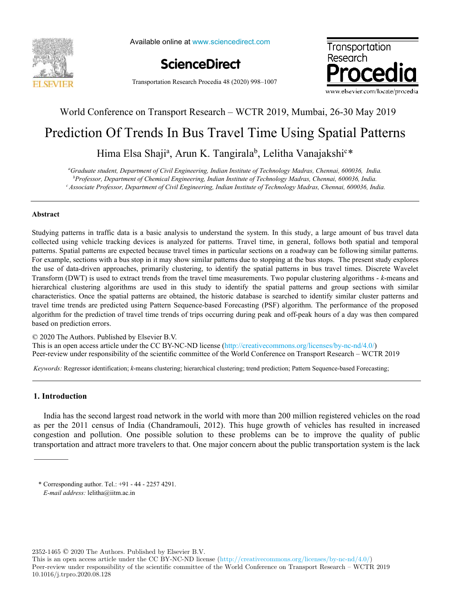

Available online at www.sciencedirect.com



Transportation Research Procedia 48 (2020) 998–1007



### World Conference on Transport Research – WCTR 2019, Mumbai, 26-30 May 2019

# Prediction Of Trends In Bus Travel Time Using Spatial Patterns

## Hima Elsa Shaji<sup>a</sup>, Arun K. Tangirala<sup>b</sup>, Lelitha Vanajakshi<sup>c\*</sup>

*<sup>a</sup>Graduate student, Department of Civil Engineering, Indian Institute of Technology Madras, Chennai, 600036, India. <sup>b</sup>Professor, Department of Chemical Engineering, Indian Institute of Technology Madras, Chennai, 600036, India. <sup>c</sup>Associate Professor, Department of Civil Engineering, Indian Institute of Technology Madras, Chennai, 600036, India.*

#### **Abstract**

Studying patterns in traffic data is a basic analysis to understand the system. In this study, a large amount of bus travel data collected using vehicle tracking devices is analyzed for patterns. Travel time, in general, follows both spatial and temporal patterns. Spatial patterns are expected because travel times in particular sections on a roadway can be following similar patterns. For example, sections with a bus stop in it may show similar patterns due to stopping at the bus stops. The present study explores the use of data-driven approaches, primarily clustering, to identify the spatial patterns in bus travel times. Discrete Wavelet Transform (DWT) is used to extract trends from the travel time measurements. Two popular clustering algorithms - *k*-means and hierarchical clustering algorithms are used in this study to identify the spatial patterns and group sections with similar characteristics. Once the spatial patterns are obtained, the historic database is searched to identify similar cluster patterns and travel time trends are predicted using Pattern Sequence-based Forecasting (PSF) algorithm. The performance of the proposed algorithm for the prediction of travel time trends of trips occurring during peak and off-peak hours of a day was then compared based on prediction errors.

© 2020 The Authors. Published by Elsevier B.V.

This is an open access article under the CC BY-NC-ND license (http://creativecommons.org/licenses/by-nc-nd/4.0/) Peer-review under responsibility of the scientific committee of the World Conference on Transport Research – WCTR 2019 Peer-review under responsibility of the scientific committee of the World Conference on Transport Research – WCTR 2019

*Keywords:* Regressor identification; *k*-means clustering; hierarchical clustering; trend prediction; Pattern Sequence-based Forecasting;

#### **1. Introduction**

India has the second largest road network in the world with more than 200 million registered vehicles on the road as per the 2011 census of India (Chandramouli, 2012). This huge growth of vehicles has resulted in increased congestion and pollution. One possible solution to these problems can be to improve the quality of public transportation and attract more travelers to that. One major concern about the public transportation system is the lack

2352-1465 © 2020 The Authors. Published by Elsevier B.V.

This is an open access article under the CC BY-NC-ND license (http://creativecommons.org/licenses/by-nc-nd/4.0/) Peer-review under responsibility of the scientific committee of the World Conference on Transport Research – WCTR 2019 10.1016/j.trpro.2020.08.128

<sup>\*</sup> Corresponding author. Tel.: +91 - 44 - 2257 4291. *E-mail address:* lelitha@iitm.ac.in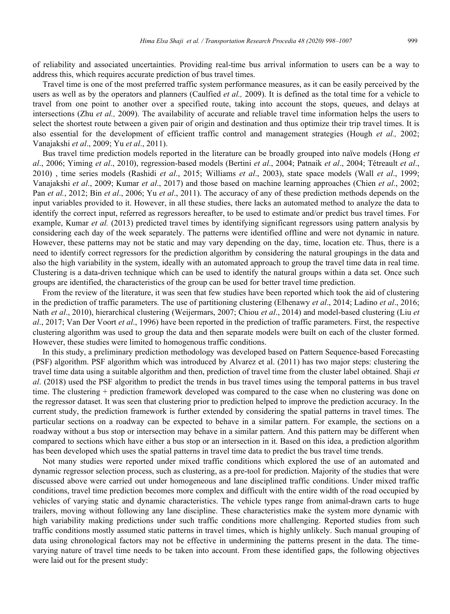of reliability and associated uncertainties. Providing real-time bus arrival information to users can be a way to address this, which requires accurate prediction of bus travel times.

Travel time is one of the most preferred traffic system performance measures, as it can be easily perceived by the users as well as by the operators and planners (Caulfied *et al.,* 2009). It is defined as the total time for a vehicle to travel from one point to another over a specified route, taking into account the stops, queues, and delays at intersections (Zhu *et al.,* 2009). The availability of accurate and reliable travel time information helps the users to select the shortest route between a given pair of origin and destination and thus optimize their trip travel times. It is also essential for the development of efficient traffic control and management strategies (Hough *et al.,* 2002; Vanajakshi *et al*., 2009; Yu *et al*., 2011).

Bus travel time prediction models reported in the literature can be broadly grouped into naïve models (Hong *et al*., 2006; Yiming *et al*., 2010), regression-based models (Bertini *et al*., 2004; Patnaik *et al*., 2004; Tétreault *et al*., 2010) , time series models (Rashidi *et al*., 2015; Williams *et al*., 2003), state space models (Wall *et al*., 1999; Vanajakshi *et al*., 2009; Kumar *et al*., 2017) and those based on machine learning approaches (Chien *et al*., 2002; Pan *et al.*, 2012; Bin *et al*., 2006; Yu *et al*., 2011). The accuracy of any of these prediction methods depends on the input variables provided to it. However, in all these studies, there lacks an automated method to analyze the data to identify the correct input, referred as regressors hereafter, to be used to estimate and/or predict bus travel times. For example, Kumar *et al.* (2013) predicted travel times by identifying significant regressors using pattern analysis by considering each day of the week separately. The patterns were identified offline and were not dynamic in nature. However, these patterns may not be static and may vary depending on the day, time, location etc. Thus, there is a need to identify correct regressors for the prediction algorithm by considering the natural groupings in the data and also the high variability in the system, ideally with an automated approach to group the travel time data in real time. Clustering is a data-driven technique which can be used to identify the natural groups within a data set. Once such groups are identified, the characteristics of the group can be used for better travel time prediction.

From the review of the literature, it was seen that few studies have been reported which took the aid of clustering in the prediction of traffic parameters. The use of partitioning clustering (Elhenawy *et al*., 2014; Ladino *et al*., 2016; Nath *et al*., 2010), hierarchical clustering (Weijermars, 2007; Chiou *et al*., 2014) and model-based clustering (Liu *et al*., 2017; Van Der Voort *et al*., 1996) have been reported in the prediction of traffic parameters. First, the respective clustering algorithm was used to group the data and then separate models were built on each of the cluster formed. However, these studies were limited to homogenous traffic conditions.

In this study, a preliminary prediction methodology was developed based on Pattern Sequence-based Forecasting (PSF) algorithm. PSF algorithm which was introduced by Alvarez et al. (2011) has two major steps: clustering the travel time data using a suitable algorithm and then, prediction of travel time from the cluster label obtained. Shaji *et al*. (2018) used the PSF algorithm to predict the trends in bus travel times using the temporal patterns in bus travel time. The clustering + prediction framework developed was compared to the case when no clustering was done on the regressor dataset. It was seen that clustering prior to prediction helped to improve the prediction accuracy. In the current study, the prediction framework is further extended by considering the spatial patterns in travel times. The particular sections on a roadway can be expected to behave in a similar pattern. For example, the sections on a roadway without a bus stop or intersection may behave in a similar pattern. And this pattern may be different when compared to sections which have either a bus stop or an intersection in it. Based on this idea, a prediction algorithm has been developed which uses the spatial patterns in travel time data to predict the bus travel time trends.

Not many studies were reported under mixed traffic conditions which explored the use of an automated and dynamic regressor selection process, such as clustering, as a pre-tool for prediction. Majority of the studies that were discussed above were carried out under homogeneous and lane disciplined traffic conditions. Under mixed traffic conditions, travel time prediction becomes more complex and difficult with the entire width of the road occupied by vehicles of varying static and dynamic characteristics. The vehicle types range from animal-drawn carts to huge trailers, moving without following any lane discipline. These characteristics make the system more dynamic with high variability making predictions under such traffic conditions more challenging. Reported studies from such traffic conditions mostly assumed static patterns in travel times, which is highly unlikely. Such manual grouping of data using chronological factors may not be effective in undermining the patterns present in the data. The timevarying nature of travel time needs to be taken into account. From these identified gaps, the following objectives were laid out for the present study: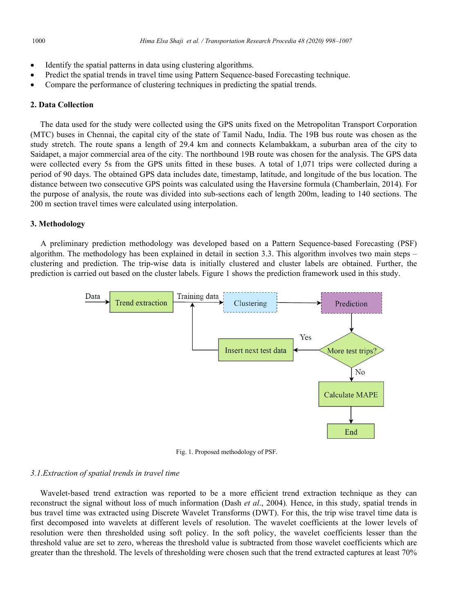- Identify the spatial patterns in data using clustering algorithms.
- Predict the spatial trends in travel time using Pattern Sequence-based Forecasting technique.
- Compare the performance of clustering techniques in predicting the spatial trends.

#### **2. Data Collection**

The data used for the study were collected using the GPS units fixed on the Metropolitan Transport Corporation (MTC) buses in Chennai, the capital city of the state of Tamil Nadu, India. The 19B bus route was chosen as the study stretch. The route spans a length of 29.4 km and connects Kelambakkam, a suburban area of the city to Saidapet, a major commercial area of the city. The northbound 19B route was chosen for the analysis. The GPS data were collected every 5s from the GPS units fitted in these buses. A total of 1,071 trips were collected during a period of 90 days. The obtained GPS data includes date, timestamp, latitude, and longitude of the bus location. The distance between two consecutive GPS points was calculated using the Haversine formula (Chamberlain, 2014)*.* For the purpose of analysis, the route was divided into sub-sections each of length 200m, leading to 140 sections. The 200 m section travel times were calculated using interpolation.

#### **3. Methodology**

A preliminary prediction methodology was developed based on a Pattern Sequence-based Forecasting (PSF) algorithm. The methodology has been explained in detail in section 3.3. This algorithm involves two main steps – clustering and prediction. The trip-wise data is initially clustered and cluster labels are obtained. Further, the prediction is carried out based on the cluster labels. Figure 1 shows the prediction framework used in this study.



Fig. 1. Proposed methodology of PSF.

#### *3.1.Extraction of spatial trends in travel time*

Wavelet-based trend extraction was reported to be a more efficient trend extraction technique as they can reconstruct the signal without loss of much information (Dash *et al*., 2004)*.* Hence, in this study, spatial trends in bus travel time was extracted using Discrete Wavelet Transforms (DWT). For this, the trip wise travel time data is first decomposed into wavelets at different levels of resolution. The wavelet coefficients at the lower levels of resolution were then thresholded using soft policy. In the soft policy, the wavelet coefficients lesser than the threshold value are set to zero, whereas the threshold value is subtracted from those wavelet coefficients which are greater than the threshold. The levels of thresholding were chosen such that the trend extracted captures at least 70%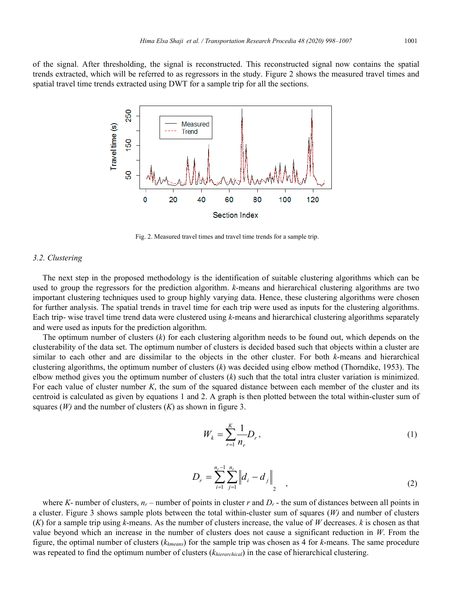of the signal. After thresholding, the signal is reconstructed. This reconstructed signal now contains the spatial trends extracted, which will be referred to as regressors in the study. Figure 2 shows the measured travel times and spatial travel time trends extracted using DWT for a sample trip for all the sections.



Fig. 2. Measured travel times and travel time trends for a sample trip.

#### *3.2. Clustering*

The next step in the proposed methodology is the identification of suitable clustering algorithms which can be used to group the regressors for the prediction algorithm. *k*-means and hierarchical clustering algorithms are two important clustering techniques used to group highly varying data. Hence, these clustering algorithms were chosen for further analysis. The spatial trends in travel time for each trip were used as inputs for the clustering algorithms. Each trip- wise travel time trend data were clustered using *k*-means and hierarchical clustering algorithms separately and were used as inputs for the prediction algorithm.

The optimum number of clusters (*k*) for each clustering algorithm needs to be found out, which depends on the clusterability of the data set. The optimum number of clusters is decided based such that objects within a cluster are similar to each other and are dissimilar to the objects in the other cluster. For both *k*-means and hierarchical clustering algorithms, the optimum number of clusters (*k*) was decided using elbow method (Thorndike, 1953). The elbow method gives you the optimum number of clusters (*k*) such that the total intra cluster variation is minimized. For each value of cluster number *K*, the sum of the squared distance between each member of the cluster and its centroid is calculated as given by equations 1 and 2. A graph is then plotted between the total within-cluster sum of squares (*W)* and the number of clusters (*K*) as shown in figure 3.

$$
W_k = \sum_{r=1}^K \frac{1}{n_r} D_r, \tag{1}
$$

$$
D_r = \sum_{i=1}^{n_r-1} \sum_{j=1}^{n_r} \left\| d_i - d_j \right\|_2 \tag{2}
$$

where *K*- number of clusters,  $n_r$  – number of points in cluster *r* and  $D_r$  - the sum of distances between all points in a cluster. Figure 3 shows sample plots between the total within-cluster sum of squares (*W)* and number of clusters (*K*) for a sample trip using *k*-means. As the number of clusters increase, the value of *W* decreases. *k* is chosen as that value beyond which an increase in the number of clusters does not cause a significant reduction in *W*. From the figure, the optimal number of clusters (*kkmeans*) for the sample trip was chosen as 4 for *k*-means. The same procedure was repeated to find the optimum number of clusters (*khierarchical*) in the case of hierarchical clustering.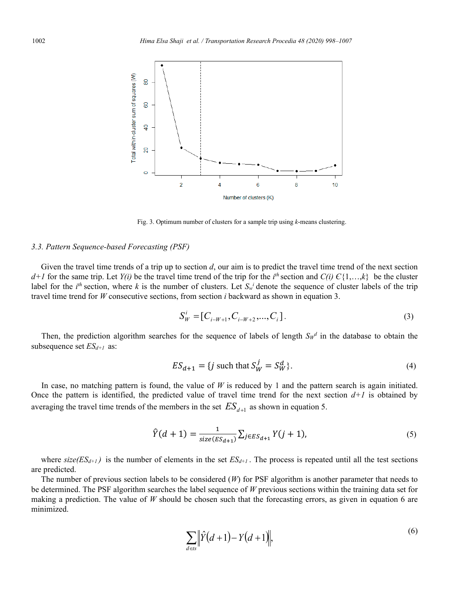

Fig. 3. Optimum number of clusters for a sample trip using *k*-means clustering.

#### *3.3. Pattern Sequence-based Forecasting (PSF)*

Given the travel time trends of a trip up to section *d*, our aim is to predict the travel time trend of the next section *d*+*I* for the same trip. Let *Y(i)* be the travel time trend of the trip for the *i*<sup>th</sup> section and *C(i)*  $C\{1,...,k\}$  be the cluster label for the  $i^{th}$  section, where k is the number of clusters. Let  $S_w^i$  denote the sequence of cluster labels of the trip travel time trend for *W* consecutive sections, from section *i* backward as shown in equation 3.

$$
S_W^i = [C_{i-W+1}, C_{i-W+2}, \dots, C_i].
$$
\n(3)

Then, the prediction algorithm searches for the sequence of labels of length  $S_{W}$ <sup>d</sup> in the database to obtain the subsequence set *ESd+1* as:

$$
ES_{d+1} = \{j \text{ such that } S_W^j = S_W^d \}.
$$
 (4)

In case, no matching pattern is found, the value of  $W$  is reduced by 1 and the pattern search is again initiated. Once the pattern is identified, the predicted value of travel time trend for the next section  $d+1$  is obtained by averaging the travel time trends of the members in the set  $ES_{d+1}$  as shown in equation 5.

$$
\hat{Y}(d+1) = \frac{1}{size(ES_{d+1})} \sum_{j \in ES_{d+1}} Y(j+1),\tag{5}
$$

where  $\text{size}(ES_{d+1})$  is the number of elements in the set  $ES_{d+1}$ . The process is repeated until all the test sections are predicted.

The number of previous section labels to be considered (*W*) for PSF algorithm is another parameter that needs to be determined. The PSF algorithm searches the label sequence of *W* previous sections within the training data set for making a prediction. The value of *W* should be chosen such that the forecasting errors, as given in equation 6 are minimized.

$$
\sum_{d \in S} \|\hat{Y}(d+1) - Y(d+1)\|,
$$
\n(6)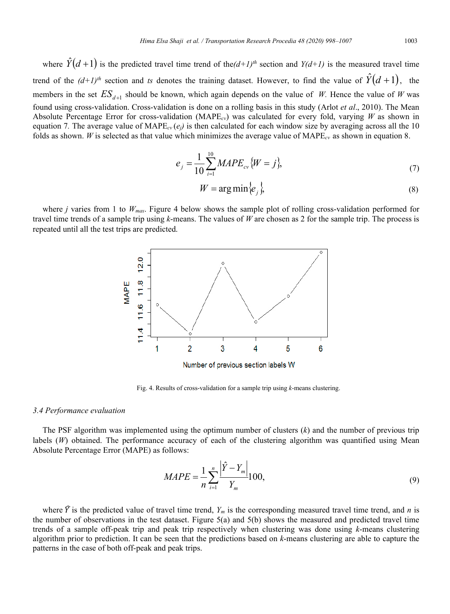where  $\hat{Y}(d+1)$  is the predicted travel time trend of the $(d+1)^{th}$  section and  $Y(d+1)$  is the measured travel time trend of the  $(d+1)^{th}$  section and *ts* denotes the training dataset. However, to find the value of  $\hat{Y}(d+1)$ , the members in the set  $ES_{d+1}$  should be known, which again depends on the value of *W*. Hence the value of *W* was found using cross-validation. Cross-validation is done on a rolling basis in this study (Arlot *et al*., 2010). The Mean Absolute Percentage Error for cross-validation (MAPE*cv*) was calculated for every fold, varying *W* as shown in equation 7. The average value of  $\text{MAPE}_{cv}(e_i)$  is then calculated for each window size by averaging across all the 10 folds as shown. *W* is selected as that value which minimizes the average value of MAPE*cv* as shown in equation 8.

$$
e_j = \frac{1}{10} \sum_{i=1}^{10} MAPE_{cv} \{W = j\},\tag{7}
$$

$$
W = \arg\min\{e_j\},\tag{8}
$$

where *j* varies from 1 to *Wmax*. Figure 4 below shows the sample plot of rolling cross-validation performed for travel time trends of a sample trip using *k*-means. The values of *W* are chosen as 2 for the sample trip. The process is repeated until all the test trips are predicted.



Fig. 4. Results of cross-validation for a sample trip using *k-*means clustering.

#### *3.4 Performance evaluation*

The PSF algorithm was implemented using the optimum number of clusters (*k*) and the number of previous trip labels (*W*) obtained. The performance accuracy of each of the clustering algorithm was quantified using Mean Absolute Percentage Error (MAPE) as follows:

$$
MAPE = \frac{1}{n} \sum_{i=1}^{n} \frac{\left| \hat{Y} - Y_m \right|}{Y_m} 100,
$$
\n(9)

where  $\hat{Y}$  is the predicted value of travel time trend,  $Y_m$  is the corresponding measured travel time trend, and *n* is the number of observations in the test dataset. Figure 5(a) and 5(b) shows the measured and predicted travel time trends of a sample off-peak trip and peak trip respectively when clustering was done using *k*-means clustering algorithm prior to prediction. It can be seen that the predictions based on *k*-means clustering are able to capture the patterns in the case of both off-peak and peak trips.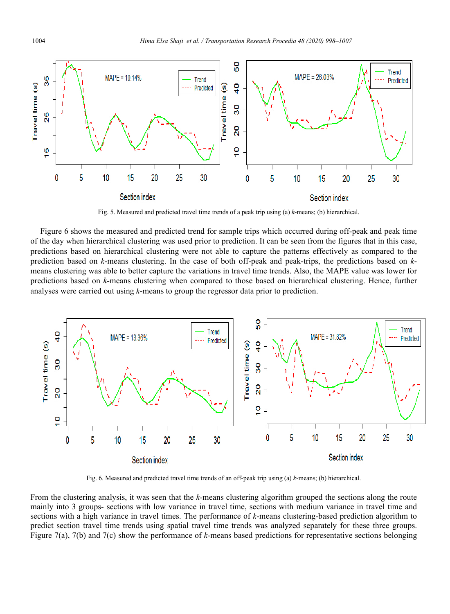

Fig. 5. Measured and predicted travel time trends of a peak trip using (a) *k*-means; (b) hierarchical.

Figure 6 shows the measured and predicted trend for sample trips which occurred during off-peak and peak time of the day when hierarchical clustering was used prior to prediction. It can be seen from the figures that in this case, predictions based on hierarchical clustering were not able to capture the patterns effectively as compared to the prediction based on *k*-means clustering. In the case of both off-peak and peak-trips, the predictions based on *k*means clustering was able to better capture the variations in travel time trends. Also, the MAPE value was lower for predictions based on *k*-means clustering when compared to those based on hierarchical clustering. Hence, further analyses were carried out using *k*-means to group the regressor data prior to prediction.



Fig. 6. Measured and predicted travel time trends of an off-peak trip using (a) *k*-means; (b) hierarchical.

From the clustering analysis, it was seen that the *k*-means clustering algorithm grouped the sections along the route mainly into 3 groups- sections with low variance in travel time, sections with medium variance in travel time and sections with a high variance in travel times. The performance of *k*-means clustering-based prediction algorithm to predict section travel time trends using spatial travel time trends was analyzed separately for these three groups. Figure 7(a), 7(b) and 7(c) show the performance of *k*-means based predictions for representative sections belonging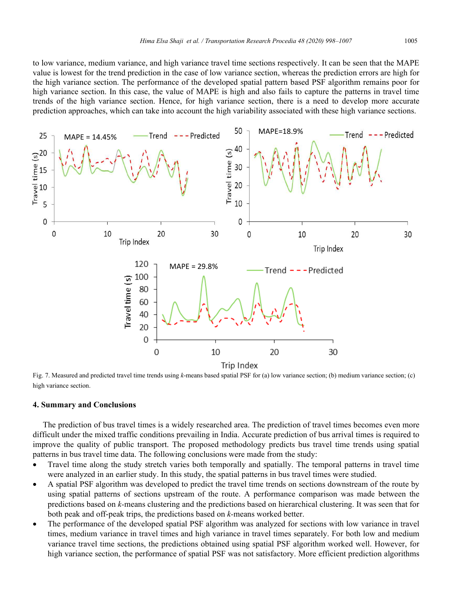to low variance, medium variance, and high variance travel time sections respectively. It can be seen that the MAPE value is lowest for the trend prediction in the case of low variance section, whereas the prediction errors are high for the high variance section. The performance of the developed spatial pattern based PSF algorithm remains poor for high variance section. In this case, the value of MAPE is high and also fails to capture the patterns in travel time trends of the high variance section. Hence, for high variance section, there is a need to develop more accurate prediction approaches, which can take into account the high variability associated with these high variance sections.



Fig. 7. Measured and predicted travel time trends using *k*-means based spatial PSF for (a) low variance section; (b) medium variance section; (c) high variance section.

#### **4. Summary and Conclusions**

The prediction of bus travel times is a widely researched area. The prediction of travel times becomes even more difficult under the mixed traffic conditions prevailing in India. Accurate prediction of bus arrival times is required to improve the quality of public transport. The proposed methodology predicts bus travel time trends using spatial patterns in bus travel time data. The following conclusions were made from the study:

- Travel time along the study stretch varies both temporally and spatially. The temporal patterns in travel time were analyzed in an earlier study. In this study, the spatial patterns in bus travel times were studied.
- A spatial PSF algorithm was developed to predict the travel time trends on sections downstream of the route by using spatial patterns of sections upstream of the route. A performance comparison was made between the predictions based on *k-*means clustering and the predictions based on hierarchical clustering. It was seen that for both peak and off-peak trips, the predictions based on *k-*means worked better.
- The performance of the developed spatial PSF algorithm was analyzed for sections with low variance in travel times, medium variance in travel times and high variance in travel times separately. For both low and medium variance travel time sections, the predictions obtained using spatial PSF algorithm worked well. However, for high variance section, the performance of spatial PSF was not satisfactory. More efficient prediction algorithms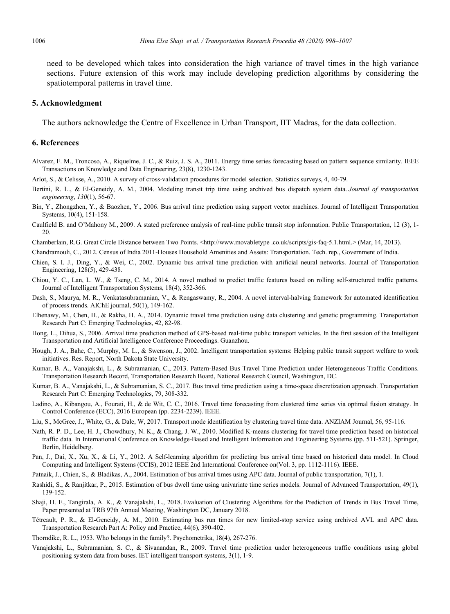need to be developed which takes into consideration the high variance of travel times in the high variance sections. Future extension of this work may include developing prediction algorithms by considering the spatiotemporal patterns in travel time.

#### **5. Acknowledgment**

The authors acknowledge the Centre of Excellence in Urban Transport, IIT Madras, for the data collection.

#### **6. References**

- Alvarez, F. M., Troncoso, A., Riquelme, J. C., & Ruiz, J. S. A., 2011. Energy time series forecasting based on pattern sequence similarity. IEEE Transactions on Knowledge and Data Engineering, 23(8), 1230-1243.
- Arlot, S., & Celisse, A., 2010. A survey of cross-validation procedures for model selection. Statistics surveys, 4, 40-79.
- Bertini, R. L., & El-Geneidy, A. M., 2004. Modeling transit trip time using archived bus dispatch system data. *Journal of transportation engineering*, *130*(1), 56-67.
- Bin, Y., Zhongzhen, Y., & Baozhen, Y., 2006. Bus arrival time prediction using support vector machines. Journal of Intelligent Transportation Systems, 10(4), 151-158.
- Caulfield B. and O'Mahony M., 2009. A stated preference analysis of real-time public transit stop information. Public Transportation, 12 (3), 1- 20.
- Chamberlain, R.G. Great Circle Distance between Two Points. <http://www.movabletype .co.uk/scripts/gis-faq-5.1.html.> (Mar, 14, 2013).
- Chandramouli, C., 2012. Census of India 2011-Houses Household Amenities and Assets: Transportation. Tech. rep., Government of India.
- Chien, S. I. J., Ding, Y., & Wei, C., 2002. Dynamic bus arrival time prediction with artificial neural networks. Journal of Transportation Engineering, 128(5), 429-438.
- Chiou, Y. C., Lan, L. W., & Tseng, C. M., 2014. A novel method to predict traffic features based on rolling self-structured traffic patterns. Journal of Intelligent Transportation Systems, 18(4), 352-366.
- Dash, S., Maurya, M. R., Venkatasubramanian, V., & Rengaswamy, R., 2004. A novel interval-halving framework for automated identification of process trends. AIChE journal, 50(1), 149-162.
- Elhenawy, M., Chen, H., & Rakha, H. A., 2014. Dynamic travel time prediction using data clustering and genetic programming. Transportation Research Part C: Emerging Technologies, 42, 82-98.
- Hong, L., Dihua, S., 2006. Arrival time prediction method of GPS-based real-time public transport vehicles. In the first session of the Intelligent Transportation and Artificial Intelligence Conference Proceedings. Guanzhou.
- Hough, J. A., Bahe, C., Murphy, M. L., & Swenson, J., 2002. Intelligent transportation systems: Helping public transit support welfare to work initiatives. Res. Report, North Dakota State University.
- Kumar, B. A., Vanajakshi, L., & Subramanian, C., 2013. Pattern-Based Bus Travel Time Prediction under Heterogeneous Traffic Conditions. Transportation Research Record, Transportation Research Board, National Research Council, Washington, DC.
- Kumar, B. A., Vanajakshi, L., & Subramanian, S. C., 2017. Bus travel time prediction using a time-space discretization approach. Transportation Research Part C: Emerging Technologies, 79, 308-332.
- Ladino, A., Kibangou, A., Fourati, H., & de Wit, C. C., 2016. Travel time forecasting from clustered time series via optimal fusion strategy. In Control Conference (ECC), 2016 European (pp. 2234-2239). IEEE.
- Liu, S., McGree, J., White, G., & Dale, W, 2017. Transport mode identification by clustering travel time data. ANZIAM Journal, 56, 95-116.
- Nath, R. P. D., Lee, H. J., Chowdhury, N. K., & Chang, J. W., 2010. Modified K-means clustering for travel time prediction based on historical traffic data. In International Conference on Knowledge-Based and Intelligent Information and Engineering Systems (pp. 511-521). Springer, Berlin, Heidelberg.
- Pan, J., Dai, X., Xu, X., & Li, Y., 2012. A Self-learning algorithm for predicting bus arrival time based on historical data model. In Cloud Computing and Intelligent Systems (CCIS), 2012 IEEE 2nd International Conference on(Vol. 3, pp. 1112-1116). IEEE.
- Patnaik, J., Chien, S., & Bladikas, A., 2004. Estimation of bus arrival times using APC data. Journal of public transportation, 7(1), 1.
- Rashidi, S., & Ranjitkar, P., 2015. Estimation of bus dwell time using univariate time series models. Journal of Advanced Transportation, 49(1), 139-152.
- Shaji, H. E., Tangirala, A. K., & Vanajakshi, L., 2018. Evaluation of Clustering Algorithms for the Prediction of Trends in Bus Travel Time, Paper presented at TRB 97th Annual Meeting, Washington DC, January 2018.
- Tétreault, P. R., & El-Geneidy, A. M., 2010. Estimating bus run times for new limited-stop service using archived AVL and APC data. Transportation Research Part A: Policy and Practice, 44(6), 390-402.
- Thorndike, R. L., 1953. Who belongs in the family?. Psychometrika, 18(4), 267-276.
- Vanajakshi, L., Subramanian, S. C., & Sivanandan, R., 2009. Travel time prediction under heterogeneous traffic conditions using global positioning system data from buses. IET intelligent transport systems, 3(1), 1-9.